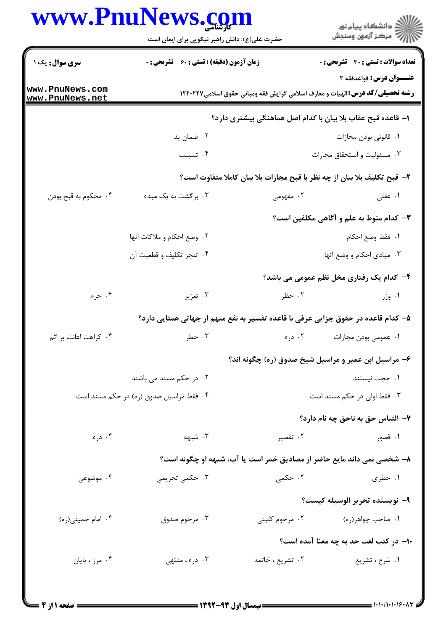## WWW PnuNews com

|                                    | www.PnuNews.com<br>حضرت علی(ع): دانش راهبر نیکویی برای ایمان است |                                                                                                                   | انشڪاه پيام نور<br>اڳ مرڪز آزمون وسنڊش                                            |  |
|------------------------------------|------------------------------------------------------------------|-------------------------------------------------------------------------------------------------------------------|-----------------------------------------------------------------------------------|--|
| <b>سری سوال :</b> یک ۱             | <b>زمان آزمون (دقیقه) : تستی : 60 ٪ تشریحی : 0</b>               |                                                                                                                   | تعداد سوالات : تستي : 30 - تشريحي : 0                                             |  |
| www.PnuNews.com<br>www.PnuNews.net |                                                                  | عنـــوان درس: قواعدفقه ۲<br><b>رشته تحصیلی/کد درس: ا</b> لهیات و معارف اسلامی گرایش فقه ومبانی حقوق اسلامی۱۲۲۰۲۲۷ |                                                                                   |  |
|                                    | ا– قاعده قبح عقاب بلا بیان با کدام اصل هماهنگی بیشتری دارد؟      |                                                                                                                   |                                                                                   |  |
|                                    | ۰۲ ضمان ید                                                       |                                                                                                                   | ٠١ قانوني بودن مجازات                                                             |  |
|                                    | ۰۴ تسبيب                                                         |                                                                                                                   | ۰۳ مسئولیت و استحقاق مجازات                                                       |  |
|                                    |                                                                  |                                                                                                                   | ۲- قبح تکلیف بلا بیان از چه نظر با قبح مجازات بلا بیان کاملا متفاوت است؟          |  |
| ۰۴ محکوم به قبح بودن               | ۰۳ برگشت به یک مبدء                                              | ۰۲ مفهومی                                                                                                         | ۰۱ عقلی                                                                           |  |
|                                    | <b>۳</b> – کدام منوط به علم و آگاهی مکلفین است؟                  |                                                                                                                   |                                                                                   |  |
|                                    | ٢. وضع احكام و ملاكات آنها                                       |                                                                                                                   | ٠١. فقط وضع احكام                                                                 |  |
|                                    | ۴. تنجز تكليف و قطعيت أن                                         |                                                                                                                   | ۰۳ مبادی احکام و وضع آنها                                                         |  |
|                                    |                                                                  |                                                                                                                   | ۴- کدام یک رفتاری مخل نظم عمومی می باشد؟                                          |  |
| ۰۴ جرم                             | ۰۳ تعزیر                                                         | ۰۲ حظر                                                                                                            | ۰۱ وزر                                                                            |  |
|                                    |                                                                  |                                                                                                                   | ۵– کدام قاعده در حقوق جزایی عرفی با قاعده تفسیر به نفع متهم از جهاتی همتایی دارد؟ |  |
| ۰۴ کراهت اعانت بر اثم              |                                                                  |                                                                                                                   | ۰۱ عمومی بودن مجازات در ۲۰ در به سال ۲۰۰۳ مظر                                     |  |
|                                    |                                                                  |                                                                                                                   | ۶– مراسیل ابن عمیر و مراسیل شیخ صدوق (ره) چگونه اند؟                              |  |
|                                    | ۲. در حکم مسند می باشند                                          |                                                                                                                   | ۰۱ حجت نیستند                                                                     |  |
|                                    | ۰۴ فقط مراسیل صدوق (ره) در حکم مسند است                          |                                                                                                                   | ۰۳ فقط اولی در حکم مسند است                                                       |  |
|                                    |                                                                  |                                                                                                                   | ۷– التباس حق به ناحق چه نام دارد؟                                                 |  |
| ۰۴ دره                             | ۰۳ شبهه                                                          | ۰۲ تقصیر                                                                                                          | ۰۱ قصور                                                                           |  |
|                                    |                                                                  |                                                                                                                   | ۸– شخصی نمی داند مایع حاضر از مصادیق خمر است یا آب، شبهه او چگونه است؟            |  |
| ۰۴ موضوعی                          | ۰۳ حکمی تحریمی                                                   | ۰۲ حکمی                                                                                                           | ۰۱ حظری                                                                           |  |
|                                    |                                                                  |                                                                                                                   | ۹– نویسنده تحریر الوسیله کیست؟                                                    |  |
| ۰۴ امام خميني(ره)                  | ۰۳ مرحوم صدوق                                                    | ۰۲ مرحوم کلینی                                                                                                    | ۰۱ صاحب جواهر(ره)                                                                 |  |
|                                    |                                                                  |                                                                                                                   | ۱۰– در کتب لغت حد به چه معنا آمده است؟                                            |  |
| ۰۴ مرز ، پایان                     | ۰۳ در ، منتهى                                                    | ۰۲ تشریع ، خاتمه                                                                                                  | ۰۱ شرع ، تشريع                                                                    |  |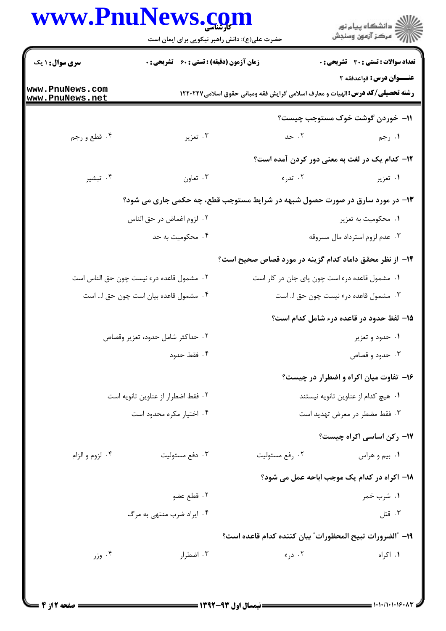## www.PnuNews.com

|                                       | حضرت علی(ع): دانش راهبر نیکویی برای ایمان است                                |                                                                                      | ڪ دانشڪاه پيام نور<br>(7 مرڪز آزمون وسنڊش             |  |
|---------------------------------------|------------------------------------------------------------------------------|--------------------------------------------------------------------------------------|-------------------------------------------------------|--|
| <b>سری سوال : ۱ یک</b>                | <b>زمان آزمون (دقیقه) : تستی : 60 ٪ تشریحی : 0</b>                           |                                                                                      | <b>تعداد سوالات : تستی : 30 ٪ تشریحی : 0</b>          |  |
| ww.PnuNews.com<br>ww.PnuNews.net      |                                                                              | <b>رشته تحصیلی/گد درس:</b> الهیات و معارف اسلامی گرایش فقه ومبانی حقوق اسلامی۱۲۲۰۲۲۷ | عنــوان درس: قواعدفقه ۲                               |  |
|                                       |                                                                              |                                                                                      | 11- خوردن گوشت خوک مستوجب چیست؟                       |  |
| ۰۴ قطع و رجم                          | ۰۳ تعزیر                                                                     | ۰۲ حد                                                                                | ۱. رجم                                                |  |
|                                       |                                                                              |                                                                                      | <b>۱۲</b> - کدام یک در لغت به معنی دور کردن آمده است؟ |  |
| ۰۴ تبشیر                              | ۰۳ تعاون                                                                     | ۰۲ تدرء                                                                              | ۰۱ تعزیر                                              |  |
|                                       | ۱۳- در مورد سارق در صورت حصول شبهه در شرایط مستوجب قطع، چه حکمی جاری می شود؟ |                                                                                      |                                                       |  |
|                                       | ٢. لزوم اغماض در حق الناس                                                    |                                                                                      | ۰۱ محکومیت به تعزیر                                   |  |
|                                       | ۰۴ محکومیت به حد                                                             | ۰۳ عدم لزوم استرداد مال مسروقه                                                       |                                                       |  |
|                                       |                                                                              | ۱۴– از نظر محقق داماد کدام گزینه در مورد قصاص صحیح است؟                              |                                                       |  |
|                                       | ۰۲ مشمول قاعده درء نيست چون حق الناس است                                     | ۰۱ مشمول قاعده درء است چون پای جان در کار است                                        |                                                       |  |
| ۰۴ مشمول قاعده بیان است چون حق ا… است |                                                                              |                                                                                      | ۰۳ مشمول قاعده در ً نیست چون حق ا است                 |  |
|                                       |                                                                              |                                                                                      | 1۵– لفظ حدود در قاعده درء شامل کدام است؟              |  |
| ٠٢ حداكثر شامل حدود، تعزير وقصاص      |                                                                              |                                                                                      | ۰۱ حدود و تعزیر                                       |  |
|                                       | ۰۴ فقط حدود                                                                  |                                                                                      | ۰۳ حدود و قصاص                                        |  |
|                                       |                                                                              |                                                                                      | ۱۶- تفاوت میان اکراه و اضطرار در چیست؟                |  |
|                                       | ٢. فقط اضطرار از عناوين ثانويه است                                           |                                                                                      | ٠١ هيچ كدام از عناوين ثانويه نيستند                   |  |
|                                       | ۰۴ اختیار مکره محدود است                                                     |                                                                                      | ۰۳ فقط مضطر در معرض تهدید است                         |  |
|                                       |                                                                              |                                                                                      | ۱۷- رکن اساسی اکراه چیست؟                             |  |
| ۰۴ لزوم و الزام                       | ۰۳ دفع مسئوليت                                                               | ۰۲ رفع مسئوليت                                                                       | ۰۱ بیم و هراس                                         |  |
|                                       |                                                                              |                                                                                      | 18- اکراه در کدام یک موجب اباحه عمل می شود؟           |  |
|                                       | ۰۲ قطع عضو                                                                   |                                                                                      | ۰۱ شرب خمر                                            |  |
|                                       | ۰۴ ایراد ضرب منتهی به مرگ                                                    |                                                                                      | ۰۳ قتل                                                |  |
|                                       |                                                                              | ١٩- "الضرورات تبيح المحظورات" بيان كننده كدام قاعده است؟                             |                                                       |  |
| وزر $\cdot$ ۴                         | ۰۳ اضطرار                                                                    | ۰۲ دره                                                                               | ۰۱ اکراه                                              |  |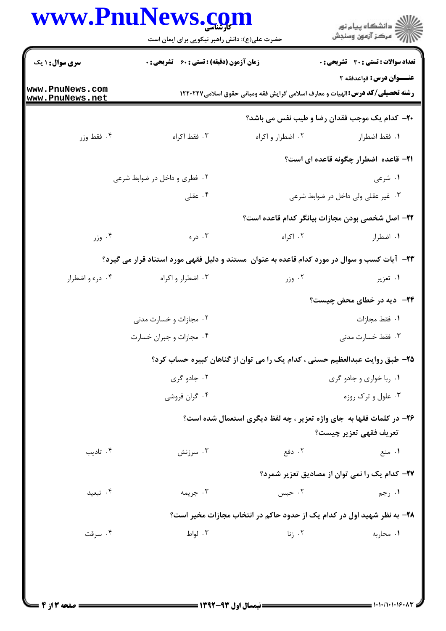## www.PnuNews.com

|                                    | www.PnuNews.com<br>حضرت علی(ع): دانش راهبر نیکویی برای ایمان است |                                    | ر<br>دانشڪاه پيام نور<br>ا∛ مرڪز آزمون وسنڊش                                                                     |  |
|------------------------------------|------------------------------------------------------------------|------------------------------------|------------------------------------------------------------------------------------------------------------------|--|
| <b>سری سوال : ۱ یک</b>             | <b>زمان آزمون (دقیقه) : تستی : 60 ٪ تشریحی : 0</b>               |                                    | تعداد سوالات : تستى : 30 قشريحى : 0                                                                              |  |
| www.PnuNews.com<br>www.PnuNews.net |                                                                  |                                    | عنــوان درس: قواعدفقه ۲<br><b>رشته تحصیلی/کد درس: ا</b> لهیات و معارف اسلامی گرایش فقه ومبانی حقوق اسلامی۱۲۲۰۲۲۷ |  |
|                                    |                                                                  |                                    | <b>٢٠</b> - كدام يك موجب فقدان رضا و طيب نفس مي باشد؟                                                            |  |
| ۰۴ فقط وزر                         | ۰۳ فقط اکراه                                                     | ۰۲ اضطرار و اکراه                  | ٠١. فقط اضطرار                                                                                                   |  |
|                                    |                                                                  |                                    | <b>۲۱</b> - قاعده اضطرار چگونه قاعده ای است؟                                                                     |  |
|                                    | ۰۲ فطری و داخل در ضوابط شرعی                                     |                                    | ۰۱ شرعی                                                                                                          |  |
|                                    | ۰۴ عقلی                                                          | ۰۳ غیر عقلی ولی داخل در ضوابط شرعی |                                                                                                                  |  |
|                                    |                                                                  |                                    | ٢٢- اصل شخصي بودن مجازات بيانگر كدام قاعده است؟                                                                  |  |
| ۰۴ وزر                             | ۰۳ درء                                                           | ۰۲ اکراه                           | ٠١. اضطرار                                                                                                       |  |
|                                    |                                                                  |                                    | ۲۳- آیات کسب و سوال در مورد کدام قاعده به عنوان ًمستند و دلیل فقهی مورد استناد قرار می گیرد؟                     |  |
| ۰۴ درء و اضطرار                    | ۰۳ اضطرار و اکراه                                                | ۰۲ وزر                             | ۰۱ تعزیر                                                                                                         |  |
|                                    |                                                                  |                                    | <b>۲۴</b> - دیه در خطای محض چیست؟                                                                                |  |
|                                    | ۰۲ مجازات و خسارت مدنی                                           |                                    | ٠١ فقط مجازات                                                                                                    |  |
|                                    | ۰۴ مجازات و جبران خسارت                                          |                                    | ۰۳ فقط خسارت مدنى                                                                                                |  |
|                                    |                                                                  |                                    | ۲۵- طبق روایت عبدالعظیم حسنی ، کدام یک را می توان از گناهان کبیره حساب کرد؟                                      |  |
|                                    | ۰۲ جادو گری                                                      |                                    | ۰۱ ربا خواری و جادو گری                                                                                          |  |
|                                    | ۰۴ گران فروشی                                                    |                                    | ۰۳ غلول و ترک روزه                                                                                               |  |
|                                    |                                                                  |                                    | ۲۶- در کلمات فقها به جای واژه تعزیر ، چه لفظ دیگری استعمال شده است؟                                              |  |
|                                    |                                                                  |                                    | تعريف فقهي تعزير چيست؟                                                                                           |  |
| ۰۴ تادیب                           | ۰۳ سرزنش                                                         | ۰۲ دفع                             | ۰۱ منع                                                                                                           |  |
|                                    |                                                                  |                                    | ۲۷- کدام یک را نمی توان از مصادیق تعزیر شمرد؟                                                                    |  |
| ۰۴ تبعید                           | ۰۳ جريمه                                                         | ۰۲ حبس                             | ۰۱ رجم                                                                                                           |  |
|                                    |                                                                  |                                    | ۲۸- به نظر شهید اول در کدام یک از حدود حاکم در انتخاب مجازات مخیر است؟                                           |  |
| ۰۴ سرقت                            | ۰۳ لواط                                                          | ۰۲ زنا                             | ۰۱ محاربه                                                                                                        |  |
|                                    |                                                                  |                                    |                                                                                                                  |  |
|                                    |                                                                  |                                    |                                                                                                                  |  |